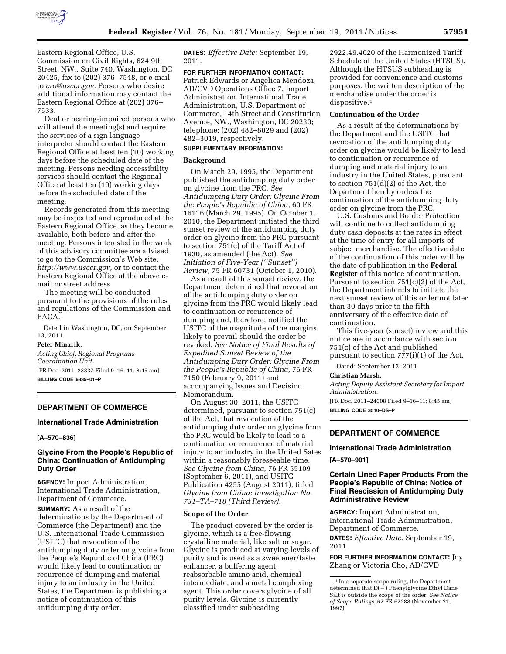

Eastern Regional Office, U.S. Commission on Civil Rights, 624 9th Street, NW., Suite 740, Washington, DC 20425, fax to (202) 376–7548, or e-mail to *[ero@usccr.gov](mailto:ero@usccr.gov)*. Persons who desire additional information may contact the Eastern Regional Office at (202) 376– 7533.

Deaf or hearing-impaired persons who will attend the meeting(s) and require the services of a sign language interpreter should contact the Eastern Regional Office at least ten (10) working days before the scheduled date of the meeting. Persons needing accessibility services should contact the Regional Office at least ten (10) working days before the scheduled date of the meeting.

Records generated from this meeting may be inspected and reproduced at the Eastern Regional Office, as they become available, both before and after the meeting. Persons interested in the work of this advisory committee are advised to go to the Commission's Web site, *[http://www.usccr.gov,](http://www.usccr.gov)* or to contact the Eastern Regional Office at the above email or street address.

The meeting will be conducted pursuant to the provisions of the rules and regulations of the Commission and FACA.

Dated in Washington, DC, on September 13, 2011.

### **Peter Minarik,**

*Acting Chief, Regional Programs Coordination Unit.*  [FR Doc. 2011–23837 Filed 9–16–11; 8:45 am] **BILLING CODE 6335–01–P** 

## **DEPARTMENT OF COMMERCE**

### **International Trade Administration**

#### **[A–570–836]**

### **Glycine From the People's Republic of China: Continuation of Antidumping Duty Order**

**AGENCY:** Import Administration, International Trade Administration, Department of Commerce.

**SUMMARY:** As a result of the determinations by the Department of Commerce (the Department) and the U.S. International Trade Commission (USITC) that revocation of the antidumping duty order on glycine from the People's Republic of China (PRC) would likely lead to continuation or recurrence of dumping and material injury to an industry in the United States, the Department is publishing a notice of continuation of this antidumping duty order.

**DATES:** *Effective Date:* September 19, 2011.

## **FOR FURTHER INFORMATION CONTACT:**

Patrick Edwards or Angelica Mendoza, AD/CVD Operations Office 7, Import Administration, International Trade Administration, U.S. Department of Commerce, 14th Street and Constitution Avenue, NW., Washington, DC 20230; telephone: (202) 482–8029 and (202) 482–3019, respectively.

## **SUPPLEMENTARY INFORMATION:**

### **Background**

On March 29, 1995, the Department published the antidumping duty order on glycine from the PRC. *See Antidumping Duty Order: Glycine From the People's Republic of China,* 60 FR 16116 (March 29, 1995). On October 1, 2010, the Department initiated the third sunset review of the antidumping duty order on glycine from the PRC pursuant to section 751(c) of the Tariff Act of 1930, as amended (the Act). *See Initiation of Five-Year (''Sunset'') Review,* 75 FR 60731 (October 1, 2010).

As a result of this sunset review, the Department determined that revocation of the antidumping duty order on glycine from the PRC would likely lead to continuation or recurrence of dumping and, therefore, notified the USITC of the magnitude of the margins likely to prevail should the order be revoked. *See Notice of Final Results of Expedited Sunset Review of the Antidumping Duty Order: Glycine From the People's Republic of China,* 76 FR 7150 (February 9, 2011) and accompanying Issues and Decision Memorandum.

On August 30, 2011, the USITC determined, pursuant to section 751(c) of the Act, that revocation of the antidumping duty order on glycine from the PRC would be likely to lead to a continuation or recurrence of material injury to an industry in the United Sates within a reasonably foreseeable time. *See Glycine from China,* 76 FR 55109 (September 6, 2011), and USITC Publication 4255 (August 2011), titled *Glycine from China: Investigation No. 731–TA–718 (Third Review).* 

### **Scope of the Order**

The product covered by the order is glycine, which is a free-flowing crystalline material, like salt or sugar. Glycine is produced at varying levels of purity and is used as a sweetener/taste enhancer, a buffering agent, reabsorbable amino acid, chemical intermediate, and a metal complexing agent. This order covers glycine of all purity levels. Glycine is currently classified under subheading

2922.49.4020 of the Harmonized Tariff Schedule of the United States (HTSUS). Although the HTSUS subheading is provided for convenience and customs purposes, the written description of the merchandise under the order is dispositive.<sup>1</sup>

#### **Continuation of the Order**

As a result of the determinations by the Department and the USITC that revocation of the antidumping duty order on glycine would be likely to lead to continuation or recurrence of dumping and material injury to an industry in the United States, pursuant to section 751(d)(2) of the Act, the Department hereby orders the continuation of the antidumping duty order on glycine from the PRC.

U.S. Customs and Border Protection will continue to collect antidumping duty cash deposits at the rates in effect at the time of entry for all imports of subject merchandise. The effective date of the continuation of this order will be the date of publication in the **Federal Register** of this notice of continuation. Pursuant to section 751(c)(2) of the Act, the Department intends to initiate the next sunset review of this order not later than 30 days prior to the fifth anniversary of the effective date of continuation.

This five-year (sunset) review and this notice are in accordance with section 751(c) of the Act and published pursuant to section 777(i)(1) of the Act.

Dated: September 12, 2011.

## **Christian Marsh,**

*Acting Deputy Assistant Secretary for Import Administration.* 

[FR Doc. 2011–24008 Filed 9–16–11; 8:45 am] **BILLING CODE 3510–DS–P** 

## **DEPARTMENT OF COMMERCE**

# **International Trade Administration**

#### **[A–570–901]**

## **Certain Lined Paper Products From the People's Republic of China: Notice of Final Rescission of Antidumping Duty Administrative Review**

**AGENCY:** Import Administration, International Trade Administration, Department of Commerce. **DATES:** *Effective Date:* September 19, 2011.

**FOR FURTHER INFORMATION CONTACT:** Joy Zhang or Victoria Cho, AD/CVD

<sup>&</sup>lt;sup>1</sup> In a separate scope ruling, the Department determined that  $D(-)$  Phenylglycine Ethyl Dane Salt is outside the scope of the order. *See Notice of Scope Rulings,* 62 FR 62288 (November 21, 1997).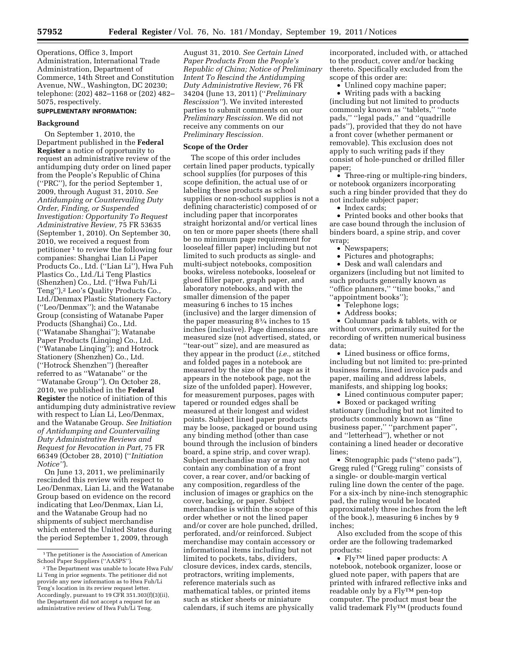Operations, Office 3, Import Administration, International Trade Administration, Department of Commerce, 14th Street and Constitution Avenue, NW., Washington, DC 20230; telephone: (202) 482–1168 or (202) 482– 5075, respectively.

# **SUPPLEMENTARY INFORMATION:**

### **Background**

On September 1, 2010, the Department published in the **Federal Register** a notice of opportunity to request an administrative review of the antidumping duty order on lined paper from the People's Republic of China (''PRC''), for the period September 1, 2009, through August 31, 2010. *See Antidumping or Countervailing Duty Order, Finding, or Suspended Investigation: Opportunity To Request Administrative Review,* 75 FR 53635 (September 1, 2010). On September 30, 2010, we received a request from petitioner 1 to review the following four companies: Shanghai Lian Li Paper Products Co., Ltd. (''Lian Li''), Hwa Fuh Plastics Co., Ltd./Li Teng Plastics (Shenzhen) Co., Ltd. (''Hwa Fuh/Li Teng"),<sup>2</sup> Leo's Quality Products Co., Ltd./Denmax Plastic Stationery Factory (''Leo/Denmax''); and the Watanabe Group (consisting of Watanabe Paper Products (Shanghai) Co., Ltd. (''Watanabe Shanghai''); Watanabe Paper Products (Linqing) Co., Ltd. (''Watanabe Linqing''); and Hotrock Stationery (Shenzhen) Co., Ltd. (''Hotrock Shenzhen'') (hereafter referred to as ''Watanabe'' or the ''Watanabe Group''). On October 28, 2010, we published in the **Federal Register** the notice of initiation of this antidumping duty administrative review with respect to Lian Li, Leo/Denmax, and the Watanabe Group. *See Initiation of Antidumping and Countervailing Duty Administrative Reviews and Request for Revocation in Part,* 75 FR 66349 (October 28, 2010) (''*Initiation Notice''*).

On June 13, 2011, we preliminarily rescinded this review with respect to Leo/Denmax, Lian Li, and the Watanabe Group based on evidence on the record indicating that Leo/Denmax, Lian Li, and the Watanabe Group had no shipments of subject merchandise which entered the United States during the period September 1, 2009, through

August 31, 2010. *See Certain Lined Paper Products From the People's Republic of China; Notice of Preliminary Intent To Rescind the Antidumping Duty Administrative Review,* 76 FR 34204 (June 13, 2011) (''*Preliminary Rescission''*). We invited interested parties to submit comments on our *Preliminary Rescission.* We did not receive any comments on our *Preliminary Rescission.* 

#### **Scope of the Order**

The scope of this order includes certain lined paper products, typically school supplies (for purposes of this scope definition, the actual use of or labeling these products as school supplies or non-school supplies is not a defining characteristic) composed of or including paper that incorporates straight horizontal and/or vertical lines on ten or more paper sheets (there shall be no minimum page requirement for looseleaf filler paper) including but not limited to such products as single- and multi-subject notebooks, composition books, wireless notebooks, looseleaf or glued filler paper, graph paper, and laboratory notebooks, and with the smaller dimension of the paper measuring 6 inches to 15 inches (inclusive) and the larger dimension of the paper measuring 83⁄4 inches to 15 inches (inclusive). Page dimensions are measured size (not advertised, stated, or ''tear-out'' size), and are measured as they appear in the product (*i.e.,* stitched and folded pages in a notebook are measured by the size of the page as it appears in the notebook page, not the size of the unfolded paper). However, for measurement purposes, pages with tapered or rounded edges shall be measured at their longest and widest points. Subject lined paper products may be loose, packaged or bound using any binding method (other than case bound through the inclusion of binders board, a spine strip, and cover wrap). Subject merchandise may or may not contain any combination of a front cover, a rear cover, and/or backing of any composition, regardless of the inclusion of images or graphics on the cover, backing, or paper. Subject merchandise is within the scope of this order whether or not the lined paper and/or cover are hole punched, drilled, perforated, and/or reinforced. Subject merchandise may contain accessory or informational items including but not limited to pockets, tabs, dividers, closure devices, index cards, stencils, protractors, writing implements, reference materials such as mathematical tables, or printed items such as sticker sheets or miniature calendars, if such items are physically

incorporated, included with, or attached to the product, cover and/or backing thereto. Specifically excluded from the scope of this order are:

• Unlined copy machine paper;

• Writing pads with a backing (including but not limited to products commonly known as ''tablets,'' ''note pads," "legal pads," and "quadrille pads''), provided that they do not have a front cover (whether permanent or removable). This exclusion does not apply to such writing pads if they consist of hole-punched or drilled filler paper;

• Three-ring or multiple-ring binders, or notebook organizers incorporating such a ring binder provided that they do not include subject paper;

• Index cards;

• Printed books and other books that are case bound through the inclusion of binders board, a spine strip, and cover wrap;

• Newspapers:

• Pictures and photographs;

• Desk and wall calendars and organizers (including but not limited to such products generally known as ''office planners,'' ''time books,'' and

- ''appointment books''); • Telephone logs;
	- Address books;

• Columnar pads & tablets, with or without covers, primarily suited for the recording of written numerical business data;

• Lined business or office forms, including but not limited to: pre-printed business forms, lined invoice pads and paper, mailing and address labels, manifests, and shipping log books;

• Lined continuous computer paper;

• Boxed or packaged writing stationary (including but not limited to

products commonly known as ''fine business paper,'' ''parchment paper'', and ''letterhead''), whether or not containing a lined header or decorative lines;

• Stenographic pads (''steno pads''), Gregg ruled (''Gregg ruling'' consists of a single- or double-margin vertical ruling line down the center of the page. For a six-inch by nine-inch stenographic pad, the ruling would be located approximately three inches from the left of the book.), measuring 6 inches by 9 inches;

Also excluded from the scope of this order are the following trademarked products:

• FlyTM lined paper products: A notebook, notebook organizer, loose or glued note paper, with papers that are printed with infrared reflective inks and readable only by a  $\rm Fly^{TM}$  pen-top computer. The product must bear the valid trademark FlyTM (products found

<sup>1</sup>The petitioner is the Association of American School Paper Suppliers (''AASPS'').

<sup>2</sup>The Department was unable to locate Hwa Fuh/ Li Teng in prior segments. The petitioner did not provide any new information as to Hwa Fuh/Li Teng's location in its review request letter. Accordingly, pursuant to 19 CFR 351.303(f)(3)(ii), the Department did not accept a request for an administrative review of Hwa Fuh/Li Teng.